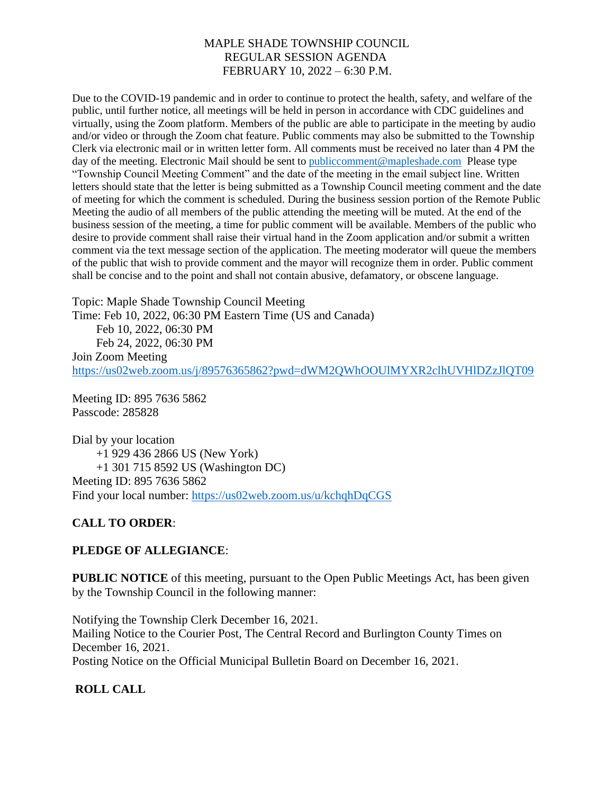Due to the COVID-19 pandemic and in order to continue to protect the health, safety, and welfare of the public, until further notice, all meetings will be held in person in accordance with CDC guidelines and virtually, using the Zoom platform. Members of the public are able to participate in the meeting by audio and/or video or through the Zoom chat feature. Public comments may also be submitted to the Township Clerk via electronic mail or in written letter form. All comments must be received no later than 4 PM the day of the meeting. Electronic Mail should be sent to [publiccomment@mapleshade.com](mailto:publiccomment@mapleshade.com) Please type "Township Council Meeting Comment" and the date of the meeting in the email subject line. Written letters should state that the letter is being submitted as a Township Council meeting comment and the date of meeting for which the comment is scheduled. During the business session portion of the Remote Public Meeting the audio of all members of the public attending the meeting will be muted. At the end of the business session of the meeting, a time for public comment will be available. Members of the public who desire to provide comment shall raise their virtual hand in the Zoom application and/or submit a written comment via the text message section of the application. The meeting moderator will queue the members of the public that wish to provide comment and the mayor will recognize them in order. Public comment shall be concise and to the point and shall not contain abusive, defamatory, or obscene language.

Topic: Maple Shade Township Council Meeting Time: Feb 10, 2022, 06:30 PM Eastern Time (US and Canada) Feb 10, 2022, 06:30 PM Feb 24, 2022, 06:30 PM Join Zoom Meeting <https://us02web.zoom.us/j/89576365862?pwd=dWM2QWhOOUlMYXR2clhUVHlDZzJlQT09>

Meeting ID: 895 7636 5862 Passcode: 285828

Dial by your location +1 929 436 2866 US (New York) +1 301 715 8592 US (Washington DC) Meeting ID: 895 7636 5862 Find your local number:<https://us02web.zoom.us/u/kchqhDqCGS>

# **CALL TO ORDER**:

## **PLEDGE OF ALLEGIANCE**:

**PUBLIC NOTICE** of this meeting, pursuant to the Open Public Meetings Act, has been given by the Township Council in the following manner:

Notifying the Township Clerk December 16, 2021. Mailing Notice to the Courier Post, The Central Record and Burlington County Times on December 16, 2021. Posting Notice on the Official Municipal Bulletin Board on December 16, 2021.

# **ROLL CALL**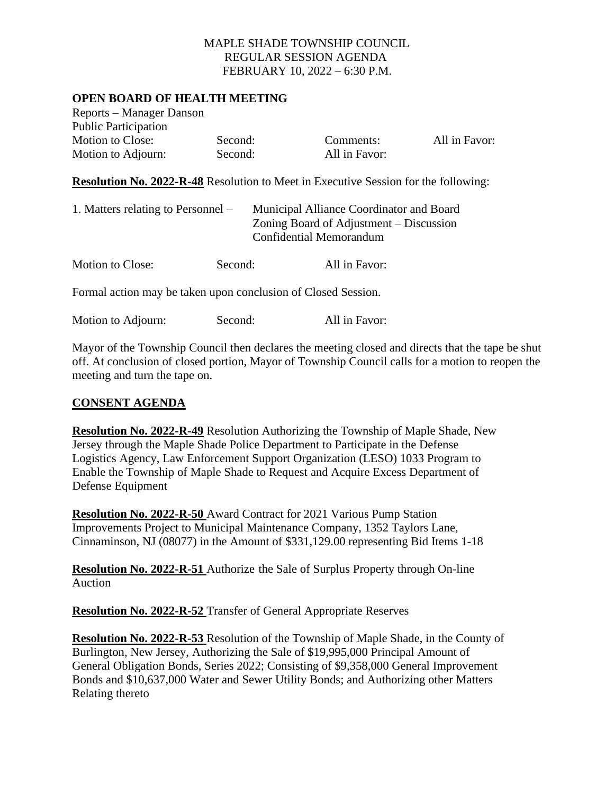### **OPEN BOARD OF HEALTH MEETING**

| Reports – Manager Danson    |         |               |
|-----------------------------|---------|---------------|
| <b>Public Participation</b> |         |               |
| <b>Motion to Close:</b>     | Second: | Comments:     |
| Motion to Adjourn:          | Second: | All in Favor: |

All in Favor:

**Resolution No. 2022-R-48** Resolution to Meet in Executive Session for the following:

| 1. Matters relating to Personnel – |         | Municipal Alliance Coordinator and Board<br>Zoning Board of Adjustment – Discussion<br>Confidential Memorandum |  |
|------------------------------------|---------|----------------------------------------------------------------------------------------------------------------|--|
| <b>Motion to Close:</b>            | Second: | All in Favor:                                                                                                  |  |

Formal action may be taken upon conclusion of Closed Session.

| Motion to Adjourn: | Second: | All in Favor: |
|--------------------|---------|---------------|
|--------------------|---------|---------------|

Mayor of the Township Council then declares the meeting closed and directs that the tape be shut off. At conclusion of closed portion, Mayor of Township Council calls for a motion to reopen the meeting and turn the tape on.

#### **CONSENT AGENDA**

**Resolution No. 2022-R-49** Resolution Authorizing the Township of Maple Shade, New Jersey through the Maple Shade Police Department to Participate in the Defense Logistics Agency, Law Enforcement Support Organization (LESO) 1033 Program to Enable the Township of Maple Shade to Request and Acquire Excess Department of Defense Equipment

**Resolution No. 2022-R-50** Award Contract for 2021 Various Pump Station Improvements Project to Municipal Maintenance Company, 1352 Taylors Lane, Cinnaminson, NJ (08077) in the Amount of \$331,129.00 representing Bid Items 1-18

**Resolution No. 2022-R-51** Authorize the Sale of Surplus Property through On-line Auction

**Resolution No. 2022-R-52** Transfer of General Appropriate Reserves

**Resolution No. 2022-R-53** Resolution of the Township of Maple Shade, in the County of Burlington, New Jersey, Authorizing the Sale of \$19,995,000 Principal Amount of General Obligation Bonds, Series 2022; Consisting of \$9,358,000 General Improvement Bonds and \$10,637,000 Water and Sewer Utility Bonds; and Authorizing other Matters Relating thereto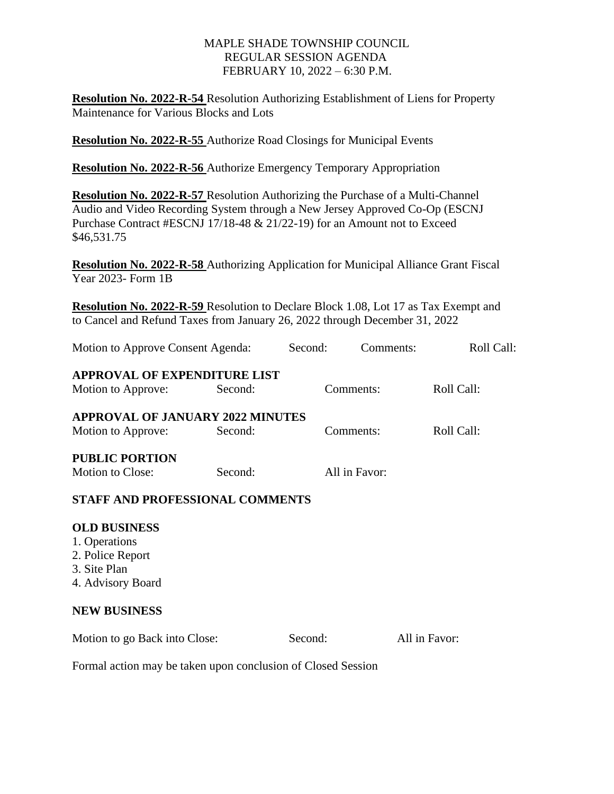**Resolution No. 2022-R-54** Resolution Authorizing Establishment of Liens for Property Maintenance for Various Blocks and Lots

**Resolution No. 2022-R-55** Authorize Road Closings for Municipal Events

**Resolution No. 2022-R-56** Authorize Emergency Temporary Appropriation

**Resolution No. 2022-R-57** Resolution Authorizing the Purchase of a Multi-Channel Audio and Video Recording System through a New Jersey Approved Co-Op (ESCNJ Purchase Contract #ESCNJ 17/18-48 & 21/22-19) for an Amount not to Exceed \$46,531.75

**Resolution No. 2022-R-58** Authorizing Application for Municipal Alliance Grant Fiscal Year 2023- Form 1B

**Resolution No. 2022-R-59** Resolution to Declare Block 1.08, Lot 17 as Tax Exempt and to Cancel and Refund Taxes from January 26, 2022 through December 31, 2022

| Motion to Approve Consent Agenda:                                                             |         | Second:   | Comments:     | Roll Call:    |  |  |  |
|-----------------------------------------------------------------------------------------------|---------|-----------|---------------|---------------|--|--|--|
| <b>APPROVAL OF EXPENDITURE LIST</b><br>Motion to Approve:                                     | Second: | Comments: |               | Roll Call:    |  |  |  |
| <b>APPROVAL OF JANUARY 2022 MINUTES</b><br>Motion to Approve:                                 | Second: | Comments: |               | Roll Call:    |  |  |  |
| <b>PUBLIC PORTION</b><br><b>Motion to Close:</b>                                              | Second: |           | All in Favor: |               |  |  |  |
| <b>STAFF AND PROFESSIONAL COMMENTS</b>                                                        |         |           |               |               |  |  |  |
| <b>OLD BUSINESS</b><br>1. Operations<br>2. Police Report<br>3. Site Plan<br>4. Advisory Board |         |           |               |               |  |  |  |
| <b>NEW BUSINESS</b>                                                                           |         |           |               |               |  |  |  |
| Motion to go Back into Close:                                                                 |         | Second:   |               | All in Favor: |  |  |  |
| Formal action may be taken upon conclusion of Closed Session                                  |         |           |               |               |  |  |  |